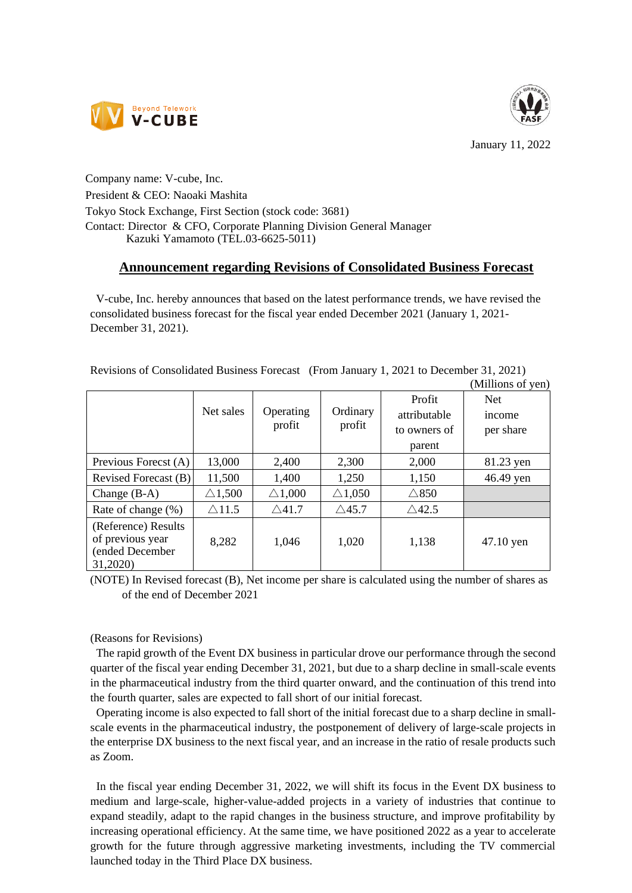



January 11, 2022

Company name: V-cube, Inc. President & CEO: Naoaki Mashita Tokyo Stock Exchange, First Section (stock code: 3681) Contact: Director & CFO, Corporate Planning Division General Manager Kazuki Yamamoto (TEL.03-6625-5011)

## **Announcement regarding Revisions of Consolidated Business Forecast**

V-cube, Inc. hereby announces that based on the latest performance trends, we have revised the consolidated business forecast for the fiscal year ended December 2021 (January 1, 2021- December 31, 2021).

|  |  | Revisions of Consolidated Business Forecast (From January 1, 2021 to December 31, 2021) |
|--|--|-----------------------------------------------------------------------------------------|
|--|--|-----------------------------------------------------------------------------------------|

|                                                                        |                   |                     |                    |                                        | (Millions of yen)                 |
|------------------------------------------------------------------------|-------------------|---------------------|--------------------|----------------------------------------|-----------------------------------|
|                                                                        | Net sales         | Operating<br>profit | Ordinary<br>profit | Profit<br>attributable<br>to owners of | <b>Net</b><br>income<br>per share |
|                                                                        |                   |                     |                    | parent                                 |                                   |
| Previous Forecst (A)                                                   | 13,000            | 2,400               | 2,300              | 2,000                                  | 81.23 yen                         |
| Revised Forecast (B)                                                   | 11,500            | 1,400               | 1,250              | 1,150                                  | 46.49 yen                         |
| Change $(B-A)$                                                         | $\triangle$ 1,500 | $\triangle$ 1,000   | $\triangle$ 1,050  | $\triangle 850$                        |                                   |
| Rate of change (%)                                                     | $\triangle$ 11.5  | $\triangle$ 41.7    | $\triangle$ 45.7   | $\triangle$ 42.5                       |                                   |
| (Reference) Results<br>of previous year<br>(ended December<br>31,2020) | 8,282             | 1,046               | 1,020              | 1,138                                  | $47.10$ yen                       |

(NOTE) In Revised forecast (B), Net income per share is calculated using the number of shares as of the end of December 2021

(Reasons for Revisions)

The rapid growth of the Event DX business in particular drove our performance through the second quarter of the fiscal year ending December 31, 2021, but due to a sharp decline in small-scale events in the pharmaceutical industry from the third quarter onward, and the continuation of this trend into the fourth quarter, sales are expected to fall short of our initial forecast.

Operating income is also expected to fall short of the initial forecast due to a sharp decline in smallscale events in the pharmaceutical industry, the postponement of delivery of large-scale projects in the enterprise DX business to the next fiscal year, and an increase in the ratio of resale products such as Zoom.

In the fiscal year ending December 31, 2022, we will shift its focus in the Event DX business to medium and large-scale, higher-value-added projects in a variety of industries that continue to expand steadily, adapt to the rapid changes in the business structure, and improve profitability by increasing operational efficiency. At the same time, we have positioned 2022 as a year to accelerate growth for the future through aggressive marketing investments, including the TV commercial launched today in the Third Place DX business.